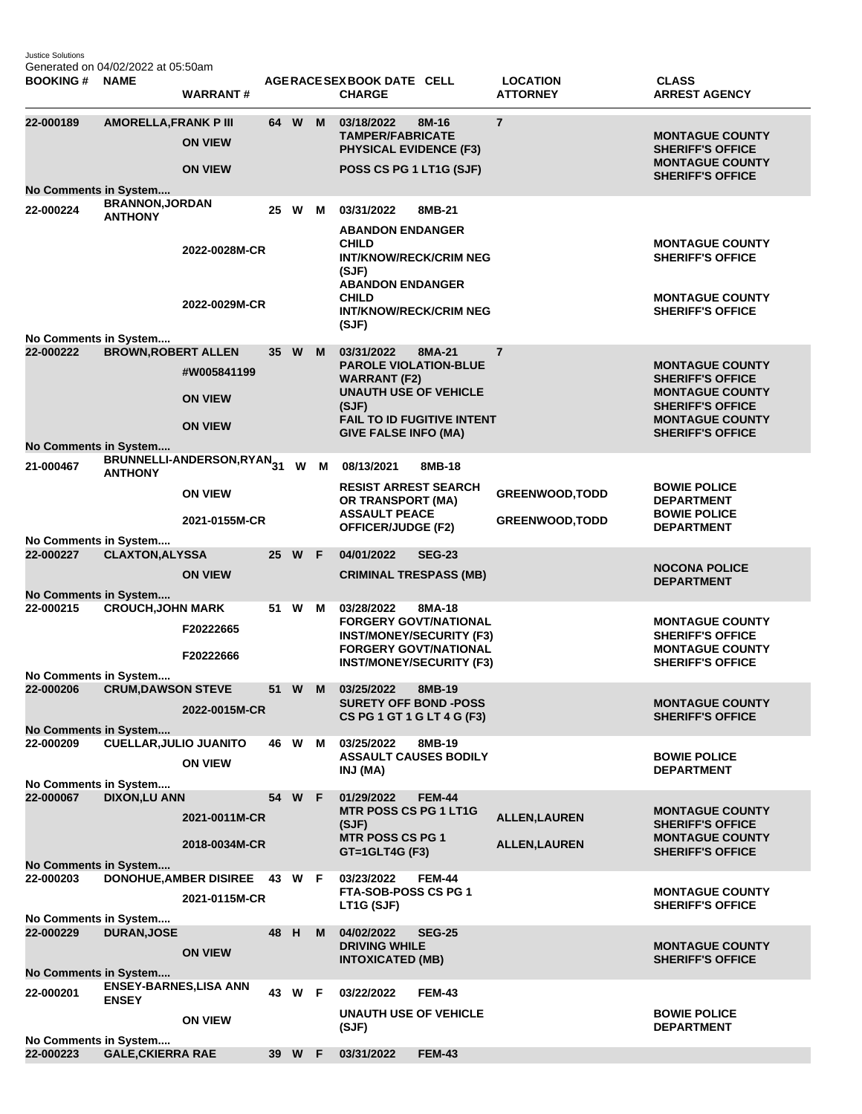Justice Solutions Generated on 04/02/2022 at 05:50am

| <b>BOOKING#</b>                           | <b>NAME</b>                              | <b>WARRANT#</b>               |    |        |   | AGERACE SEX BOOK DATE CELL<br><b>CHARGE</b>                                                                   |               | <b>LOCATION</b><br><b>ATTORNEY</b> | <b>CLASS</b><br><b>ARREST AGENCY</b>                                        |
|-------------------------------------------|------------------------------------------|-------------------------------|----|--------|---|---------------------------------------------------------------------------------------------------------------|---------------|------------------------------------|-----------------------------------------------------------------------------|
| 22-000189                                 | <b>AMORELLA, FRANK P III</b>             | <b>ON VIEW</b>                |    | 64 W M |   | 03/18/2022<br>8M-16<br><b>TAMPER/FABRICATE</b><br><b>PHYSICAL EVIDENCE (F3)</b>                               |               | $\overline{7}$                     | <b>MONTAGUE COUNTY</b><br><b>SHERIFF'S OFFICE</b><br><b>MONTAGUE COUNTY</b> |
|                                           |                                          | <b>ON VIEW</b>                |    |        |   | POSS CS PG 1 LT1G (SJF)                                                                                       |               |                                    | <b>SHERIFF'S OFFICE</b>                                                     |
| <b>No Comments in System</b><br>22-000224 | <b>BRANNON, JORDAN</b><br><b>ANTHONY</b> |                               |    | 25 W   | м | 03/31/2022<br>8MB-21<br><b>ABANDON ENDANGER</b>                                                               |               |                                    |                                                                             |
|                                           |                                          | 2022-0028M-CR                 |    |        |   | <b>CHILD</b><br><b>INT/KNOW/RECK/CRIM NEG</b><br>(SJF)<br><b>ABANDON ENDANGER</b><br><b>CHILD</b>             |               |                                    | <b>MONTAGUE COUNTY</b><br><b>SHERIFF'S OFFICE</b><br><b>MONTAGUE COUNTY</b> |
|                                           |                                          | 2022-0029M-CR                 |    |        |   | <b>INT/KNOW/RECK/CRIM NEG</b><br>(SJF)                                                                        |               |                                    | <b>SHERIFF'S OFFICE</b>                                                     |
| No Comments in System                     |                                          |                               |    |        |   |                                                                                                               |               |                                    |                                                                             |
| 22-000222                                 | <b>BROWN, ROBERT ALLEN</b>               | #W005841199                   |    | 35 W   | M | 03/31/2022<br>8MA-21<br><b>PAROLE VIOLATION-BLUE</b><br><b>WARRANT (F2)</b>                                   |               | $\overline{7}$                     | <b>MONTAGUE COUNTY</b><br><b>SHERIFF'S OFFICE</b>                           |
|                                           |                                          | <b>ON VIEW</b>                |    |        |   | <b>UNAUTH USE OF VEHICLE</b><br>(SJF)                                                                         |               |                                    | <b>MONTAGUE COUNTY</b><br><b>SHERIFF'S OFFICE</b>                           |
|                                           |                                          | <b>ON VIEW</b>                |    |        |   | <b>FAIL TO ID FUGITIVE INTENT</b><br><b>GIVE FALSE INFO (MA)</b>                                              |               |                                    | <b>MONTAGUE COUNTY</b><br><b>SHERIFF'S OFFICE</b>                           |
| No Comments in System<br>21-000467        |                                          | BRUNNELLI-ANDERSON,RYAN31     |    | W      | M | 08/13/2021                                                                                                    | 8MB-18        |                                    |                                                                             |
|                                           | <b>ANTHONY</b>                           | <b>ON VIEW</b>                |    |        |   | <b>RESIST ARREST SEARCH</b><br><b>OR TRANSPORT (MA)</b>                                                       |               | <b>GREENWOOD, TODD</b>             | <b>BOWIE POLICE</b><br><b>DEPARTMENT</b>                                    |
|                                           |                                          | 2021-0155M-CR                 |    |        |   | <b>ASSAULT PEACE</b><br><b>OFFICER/JUDGE (F2)</b>                                                             |               | <b>GREENWOOD, TODD</b>             | <b>BOWIE POLICE</b><br><b>DEPARTMENT</b>                                    |
| No Comments in System                     |                                          |                               |    |        |   |                                                                                                               |               |                                    |                                                                             |
| 22-000227                                 | <b>CLAXTON, ALYSSA</b>                   | <b>ON VIEW</b>                |    | 25 W F |   | 04/01/2022<br><b>SEG-23</b><br><b>CRIMINAL TRESPASS (MB)</b>                                                  |               |                                    | <b>NOCONA POLICE</b><br><b>DEPARTMENT</b>                                   |
| No Comments in System                     |                                          |                               |    |        |   |                                                                                                               |               |                                    |                                                                             |
| 22-000215                                 | <b>CROUCH, JOHN MARK</b>                 | F20222665                     |    | 51 W M |   | 03/28/2022<br><b>FORGERY GOVT/NATIONAL</b><br><b>INST/MONEY/SECURITY (F3)</b><br><b>FORGERY GOVT/NATIONAL</b> | 8MA-18        |                                    | <b>MONTAGUE COUNTY</b><br><b>SHERIFF'S OFFICE</b><br><b>MONTAGUE COUNTY</b> |
| No Comments in System                     |                                          | F20222666                     |    |        |   | <b>INST/MONEY/SECURITY (F3)</b>                                                                               |               |                                    | <b>SHERIFF'S OFFICE</b>                                                     |
| 22-000206                                 | <b>CRUM, DAWSON STEVE</b>                |                               |    | 51 W   | M | 03/25/2022<br>8MB-19                                                                                          |               |                                    |                                                                             |
| No Comments in System                     |                                          | 2022-0015M-CR                 |    |        |   | <b>SURETY OFF BOND -POSS</b><br>CS PG 1 GT 1 G LT 4 G (F3)                                                    |               |                                    | <b>MONTAGUE COUNTY</b><br><b>SHERIFF'S OFFICE</b>                           |
| 22-000209                                 | <b>CUELLAR, JULIO JUANITO</b>            |                               |    | 46 W M |   | 03/25/2022                                                                                                    | 8MB-19        |                                    |                                                                             |
|                                           |                                          | <b>ON VIEW</b>                |    |        |   | <b>ASSAULT CAUSES BODILY</b><br>INJ (MA)                                                                      |               |                                    | <b>BOWIE POLICE</b><br><b>DEPARTMENT</b>                                    |
| No Comments in System<br>22-000067        | <b>DIXON,LU ANN</b>                      |                               |    | 54 W F |   | 01/29/2022                                                                                                    | <b>FEM-44</b> |                                    |                                                                             |
|                                           |                                          | 2021-0011M-CR                 |    |        |   | <b>MTR POSS CS PG 1 LT1G</b><br>(SJF)                                                                         |               | <b>ALLEN, LAUREN</b>               | <b>MONTAGUE COUNTY</b><br><b>SHERIFF'S OFFICE</b>                           |
|                                           |                                          | 2018-0034M-CR                 |    |        |   | <b>MTR POSS CS PG 1</b><br>GT=1GLT4G (F3)                                                                     |               | <b>ALLEN, LAUREN</b>               | <b>MONTAGUE COUNTY</b><br><b>SHERIFF'S OFFICE</b>                           |
| No Comments in System<br>22-000203        |                                          | DONOHUE, AMBER DISIREE 43 W F |    |        |   | 03/23/2022                                                                                                    | <b>FEM-44</b> |                                    |                                                                             |
|                                           |                                          | 2021-0115M-CR                 |    |        |   | <b>FTA-SOB-POSS CS PG 1</b><br>LT1G (SJF)                                                                     |               |                                    | <b>MONTAGUE COUNTY</b><br><b>SHERIFF'S OFFICE</b>                           |
| No Comments in System                     |                                          |                               |    |        |   |                                                                                                               |               |                                    |                                                                             |
| 22-000229                                 | <b>DURAN, JOSE</b>                       | <b>ON VIEW</b>                | 48 | H      | M | 04/02/2022<br><b>DRIVING WHILE</b><br><b>INTOXICATED (MB)</b>                                                 | <b>SEG-25</b> |                                    | <b>MONTAGUE COUNTY</b><br><b>SHERIFF'S OFFICE</b>                           |
| No Comments in System                     | <b>ENSEY-BARNES,LISA ANN</b>             |                               |    |        |   |                                                                                                               |               |                                    |                                                                             |
| 22-000201                                 | <b>ENSEY</b>                             |                               |    | 43 W F |   | 03/22/2022<br><b>UNAUTH USE OF VEHICLE</b>                                                                    | <b>FEM-43</b> |                                    | <b>BOWIE POLICE</b>                                                         |
|                                           |                                          | <b>ON VIEW</b>                |    |        |   | (SJF)                                                                                                         |               |                                    | <b>DEPARTMENT</b>                                                           |
| No Comments in System<br>22-000223        | <b>GALE, CKIERRA RAE</b>                 |                               |    | 39 W F |   | 03/31/2022                                                                                                    | <b>FEM-43</b> |                                    |                                                                             |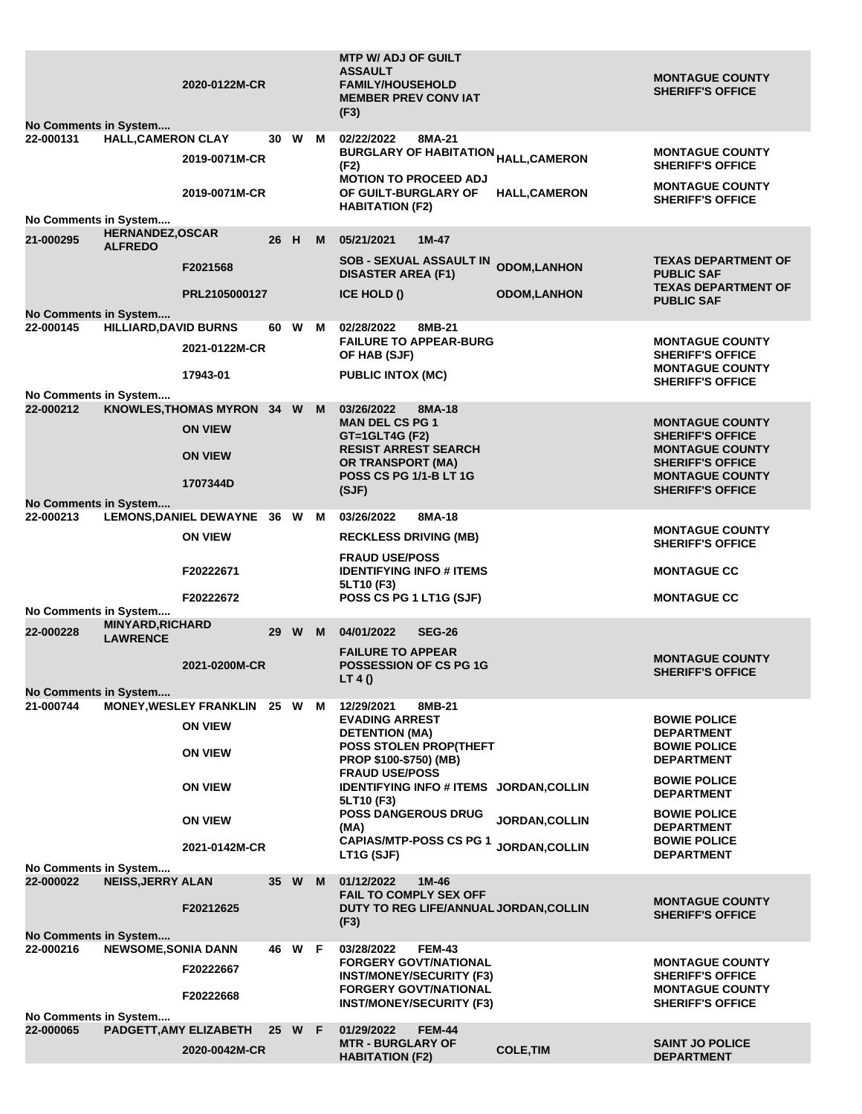|                                           |                                            | 2020-0122M-CR                 |      |        |   | <b>MTP W/ ADJ OF GUILT</b><br><b>ASSAULT</b><br><b>FAMILY/HOUSEHOLD</b><br><b>MEMBER PREV CONVIAT</b><br>(F3) |                       | <b>MONTAGUE COUNTY</b><br><b>SHERIFF'S OFFICE</b> |
|-------------------------------------------|--------------------------------------------|-------------------------------|------|--------|---|---------------------------------------------------------------------------------------------------------------|-----------------------|---------------------------------------------------|
| <b>No Comments in System</b><br>22-000131 | <b>HALL, CAMERON CLAY</b>                  |                               | 30   | W      | м | 02/22/2022<br>8MA-21                                                                                          |                       |                                                   |
|                                           |                                            | 2019-0071M-CR                 |      |        |   | <b>BURGLARY OF HABITATION <sub>HALL,</sub>CAMERON</b><br>(F2)<br><b>MOTION TO PROCEED ADJ</b>                 |                       | <b>MONTAGUE COUNTY</b><br><b>SHERIFF'S OFFICE</b> |
|                                           |                                            | 2019-0071M-CR                 |      |        |   | OF GUILT-BURGLARY OF<br><b>HABITATION (F2)</b>                                                                | <b>HALL,CAMERON</b>   | <b>MONTAGUE COUNTY</b><br><b>SHERIFF'S OFFICE</b> |
| No Comments in System                     |                                            |                               |      |        |   |                                                                                                               |                       |                                                   |
| 21-000295                                 | <b>HERNANDEZ, OSCAR</b><br><b>ALFREDO</b>  |                               | 26   | H      | M | 05/21/2021<br>$1M-47$<br><b>SOB - SEXUAL ASSAULT IN</b>                                                       |                       | <b>TEXAS DEPARTMENT OF</b>                        |
|                                           |                                            | F2021568                      |      |        |   | <b>DISASTER AREA (F1)</b>                                                                                     | <b>ODOM, LANHON</b>   | <b>PUBLIC SAF</b><br><b>TEXAS DEPARTMENT OF</b>   |
|                                           |                                            | PRL2105000127                 |      |        |   | <b>ICE HOLD ()</b>                                                                                            | <b>ODOM,LANHON</b>    | <b>PUBLIC SAF</b>                                 |
| <b>No Comments in System</b>              |                                            |                               |      |        |   |                                                                                                               |                       |                                                   |
| 22-000145                                 | <b>HILLIARD, DAVID BURNS</b>               |                               | 60   | W      | м | 02/28/2022<br>8MB-21                                                                                          |                       |                                                   |
|                                           |                                            | 2021-0122M-CR                 |      |        |   | <b>FAILURE TO APPEAR-BURG</b><br>OF HAB (SJF)                                                                 |                       | <b>MONTAGUE COUNTY</b><br><b>SHERIFF'S OFFICE</b> |
|                                           |                                            | 17943-01                      |      |        |   | <b>PUBLIC INTOX (MC)</b>                                                                                      |                       | <b>MONTAGUE COUNTY</b><br><b>SHERIFF'S OFFICE</b> |
| No Comments in System<br>22-000212        |                                            | KNOWLES, THOMAS MYRON 34 W    |      |        | M | 03/26/2022<br>8MA-18                                                                                          |                       |                                                   |
|                                           |                                            | <b>ON VIEW</b>                |      |        |   | <b>MAN DEL CS PG 1</b><br>GT=1GLT4G (F2)                                                                      |                       | <b>MONTAGUE COUNTY</b><br><b>SHERIFF'S OFFICE</b> |
|                                           |                                            | <b>ON VIEW</b>                |      |        |   | <b>RESIST ARREST SEARCH</b><br><b>OR TRANSPORT (MA)</b>                                                       |                       | <b>MONTAGUE COUNTY</b><br><b>SHERIFF'S OFFICE</b> |
|                                           |                                            | 1707344D                      |      |        |   | <b>POSS CS PG 1/1-B LT 1G</b>                                                                                 |                       | <b>MONTAGUE COUNTY</b>                            |
|                                           |                                            |                               |      |        |   | (SJF)                                                                                                         |                       | <b>SHERIFF'S OFFICE</b>                           |
| No Comments in System<br>22-000213        |                                            | LEMONS, DANIEL DEWAYNE 36 W M |      |        |   | 03/26/2022<br>8MA-18                                                                                          |                       |                                                   |
|                                           |                                            | <b>ON VIEW</b>                |      |        |   | <b>RECKLESS DRIVING (MB)</b>                                                                                  |                       | <b>MONTAGUE COUNTY</b><br><b>SHERIFF'S OFFICE</b> |
|                                           |                                            | F20222671                     |      |        |   | <b>FRAUD USE/POSS</b><br><b>IDENTIFYING INFO # ITEMS</b>                                                      |                       | <b>MONTAGUE CC</b>                                |
|                                           |                                            | F20222672                     |      |        |   | 5LT10 (F3)<br>POSS CS PG 1 LT1G (SJF)                                                                         |                       | <b>MONTAGUE CC</b>                                |
| No Comments in System                     |                                            |                               |      |        |   |                                                                                                               |                       |                                                   |
| 22-000228                                 | <b>MINYARD, RICHARD</b><br><b>LAWRENCE</b> |                               | 29   | W M    |   | 04/01/2022<br><b>SEG-26</b>                                                                                   |                       |                                                   |
|                                           |                                            | 2021-0200M-CR                 |      |        |   | <b>FAILURE TO APPEAR</b><br><b>POSSESSION OF CS PG 1G</b>                                                     |                       | <b>MONTAGUE COUNTY</b><br><b>SHERIFF'S OFFICE</b> |
|                                           |                                            |                               |      |        |   | LT 4 ()                                                                                                       |                       |                                                   |
| No Comments in System<br>21-000744        |                                            | MONEY, WESLEY FRANKLIN 25 W M |      |        |   | 8MB-21<br>12/29/2021                                                                                          |                       |                                                   |
|                                           |                                            | <b>ON VIEW</b>                |      |        |   | <b>EVADING ARREST</b><br><b>DETENTION (MA)</b>                                                                |                       | <b>BOWIE POLICE</b><br><b>DEPARTMENT</b>          |
|                                           |                                            | <b>ON VIEW</b>                |      |        |   | POSS STOLEN PROP(THEFT<br>PROP \$100-\$750) (MB)                                                              |                       | <b>BOWIE POLICE</b><br><b>DEPARTMENT</b>          |
|                                           |                                            | <b>ON VIEW</b>                |      |        |   | <b>FRAUD USE/POSS</b><br>IDENTIFYING INFO # ITEMS JORDAN, COLLIN                                              |                       | <b>BOWIE POLICE</b><br><b>DEPARTMENT</b>          |
|                                           |                                            | <b>ON VIEW</b>                |      |        |   | 5LT10 (F3)<br><b>POSS DANGEROUS DRUG</b>                                                                      | <b>JORDAN, COLLIN</b> | <b>BOWIE POLICE</b>                               |
|                                           |                                            |                               |      |        |   | (MA)<br><b>CAPIAS/MTP-POSS CS PG 1</b>                                                                        |                       | <b>DEPARTMENT</b><br><b>BOWIE POLICE</b>          |
| No Comments in System                     |                                            | 2021-0142M-CR                 |      |        |   | LT1G (SJF)                                                                                                    | JORDAN, COLLIN        | <b>DEPARTMENT</b>                                 |
| 22-000022                                 | <b>NEISS, JERRY ALAN</b>                   |                               | 35 W |        | M | 01/12/2022<br>$1M-46$<br><b>FAIL TO COMPLY SEX OFF</b>                                                        |                       |                                                   |
|                                           |                                            | F20212625                     |      |        |   | DUTY TO REG LIFE/ANNUAL JORDAN, COLLIN<br>(F3)                                                                |                       | <b>MONTAGUE COUNTY</b><br><b>SHERIFF'S OFFICE</b> |
| <b>No Comments in System</b>              |                                            |                               |      |        |   |                                                                                                               |                       |                                                   |
| 22-000216                                 | <b>NEWSOME, SONIA DANN</b>                 |                               |      | 46 W F |   | 03/28/2022<br><b>FEM-43</b>                                                                                   |                       |                                                   |
|                                           |                                            | F20222667                     |      |        |   | <b>FORGERY GOVT/NATIONAL</b><br><b>INST/MONEY/SECURITY (F3)</b>                                               |                       | <b>MONTAGUE COUNTY</b><br><b>SHERIFF'S OFFICE</b> |
|                                           |                                            | F20222668                     |      |        |   | <b>FORGERY GOVT/NATIONAL</b><br><b>INST/MONEY/SECURITY (F3)</b>                                               |                       | <b>MONTAGUE COUNTY</b><br><b>SHERIFF'S OFFICE</b> |
| No Comments in System                     |                                            |                               |      |        |   |                                                                                                               |                       |                                                   |
| 22-000065                                 | PADGETT, AMY ELIZABETH                     | 2020-0042M-CR                 |      | 25 W F |   | 01/29/2022<br><b>FEM-44</b><br><b>MTR - BURGLARY OF</b>                                                       | <b>COLE, TIM</b>      | <b>SAINT JO POLICE</b>                            |
|                                           |                                            |                               |      |        |   | <b>HABITATION (F2)</b>                                                                                        |                       | <b>DEPARTMENT</b>                                 |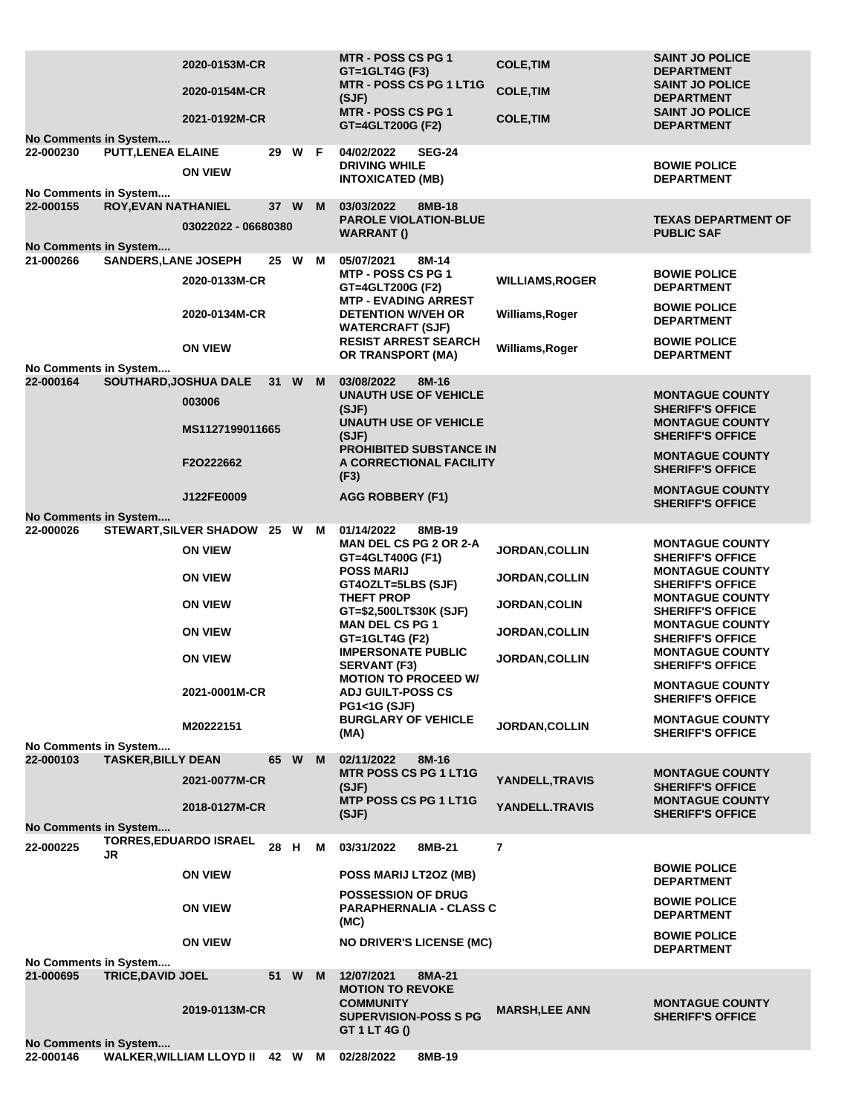| No Comments in System                                              |                             | 2020-0153M-CR<br>2020-0154M-CR<br>2021-0192M-CR                                                                                                       |      |        |   | <b>MTR - POSS CS PG 1</b><br>GT=1GLT4G (F3)<br>MTR - POSS CS PG 1 LT1G<br>(SJF)<br>MTR - POSS CS PG 1<br>GT=4GLT200G (F2)                                                                                                                                                                                                                                                                       | <b>COLE, TIM</b><br><b>COLE, TIM</b><br><b>COLE, TIM</b>                                                                                        | <b>SAINT JO POLICE</b><br><b>DEPARTMENT</b><br><b>SAINT JO POLICE</b><br><b>DEPARTMENT</b><br><b>SAINT JO POLICE</b><br><b>DEPARTMENT</b>                                                                                                                                                                                                                                       |
|--------------------------------------------------------------------|-----------------------------|-------------------------------------------------------------------------------------------------------------------------------------------------------|------|--------|---|-------------------------------------------------------------------------------------------------------------------------------------------------------------------------------------------------------------------------------------------------------------------------------------------------------------------------------------------------------------------------------------------------|-------------------------------------------------------------------------------------------------------------------------------------------------|---------------------------------------------------------------------------------------------------------------------------------------------------------------------------------------------------------------------------------------------------------------------------------------------------------------------------------------------------------------------------------|
| 22-000230<br>No Comments in System                                 | <b>PUTT, LENEA ELAINE</b>   | <b>ON VIEW</b>                                                                                                                                        |      | 29 W F |   | 04/02/2022<br><b>SEG-24</b><br><b>DRIVING WHILE</b><br><b>INTOXICATED (MB)</b>                                                                                                                                                                                                                                                                                                                  |                                                                                                                                                 | <b>BOWIE POLICE</b><br><b>DEPARTMENT</b>                                                                                                                                                                                                                                                                                                                                        |
| 22-000155<br><b>No Comments in System</b>                          | <b>ROY, EVAN NATHANIEL</b>  | 03022022 - 06680380                                                                                                                                   | 37 W |        | M | 03/03/2022<br>8MB-18<br><b>PAROLE VIOLATION-BLUE</b><br><b>WARRANT()</b>                                                                                                                                                                                                                                                                                                                        |                                                                                                                                                 | <b>TEXAS DEPARTMENT OF</b><br><b>PUBLIC SAF</b>                                                                                                                                                                                                                                                                                                                                 |
| 21-000266                                                          | <b>SANDERS, LANE JOSEPH</b> | 2020-0133M-CR                                                                                                                                         | 25 W |        | М | 05/07/2021<br>8M-14<br>MTP - POSS CS PG 1<br>GT=4GLT200G (F2)                                                                                                                                                                                                                                                                                                                                   | <b>WILLIAMS, ROGER</b>                                                                                                                          | <b>BOWIE POLICE</b><br><b>DEPARTMENT</b>                                                                                                                                                                                                                                                                                                                                        |
|                                                                    |                             | 2020-0134M-CR                                                                                                                                         |      |        |   | <b>MTP - EVADING ARREST</b><br><b>DETENTION W/VEH OR</b><br><b>WATERCRAFT (SJF)</b>                                                                                                                                                                                                                                                                                                             | Williams, Roger                                                                                                                                 | <b>BOWIE POLICE</b><br><b>DEPARTMENT</b>                                                                                                                                                                                                                                                                                                                                        |
| No Comments in System                                              |                             | <b>ON VIEW</b>                                                                                                                                        |      |        |   | <b>RESIST ARREST SEARCH</b><br>OR TRANSPORT (MA)                                                                                                                                                                                                                                                                                                                                                | Williams, Roger                                                                                                                                 | <b>BOWIE POLICE</b><br><b>DEPARTMENT</b>                                                                                                                                                                                                                                                                                                                                        |
| 22-000164                                                          | SOUTHARD, JOSHUA DALE       | 003006<br>MS1127199011665                                                                                                                             | 31 W |        | M | 03/08/2022<br>8M-16<br><b>UNAUTH USE OF VEHICLE</b><br>(SJF)<br><b>UNAUTH USE OF VEHICLE</b>                                                                                                                                                                                                                                                                                                    |                                                                                                                                                 | <b>MONTAGUE COUNTY</b><br><b>SHERIFF'S OFFICE</b><br><b>MONTAGUE COUNTY</b>                                                                                                                                                                                                                                                                                                     |
|                                                                    |                             | F2O222662                                                                                                                                             |      |        |   | (SJF)<br><b>PROHIBITED SUBSTANCE IN</b><br>A CORRECTIONAL FACILITY                                                                                                                                                                                                                                                                                                                              |                                                                                                                                                 | <b>SHERIFF'S OFFICE</b><br><b>MONTAGUE COUNTY</b><br><b>SHERIFF'S OFFICE</b>                                                                                                                                                                                                                                                                                                    |
|                                                                    |                             | J122FE0009                                                                                                                                            |      |        |   | (F3)<br><b>AGG ROBBERY (F1)</b>                                                                                                                                                                                                                                                                                                                                                                 |                                                                                                                                                 | <b>MONTAGUE COUNTY</b><br><b>SHERIFF'S OFFICE</b>                                                                                                                                                                                                                                                                                                                               |
| No Comments in System<br>22-000026                                 |                             | STEWART, SILVER SHADOW 25 W M<br><b>ON VIEW</b><br><b>ON VIEW</b><br><b>ON VIEW</b><br><b>ON VIEW</b><br><b>ON VIEW</b><br>2021-0001M-CR<br>M20222151 |      |        |   | 01/14/2022<br>8MB-19<br><b>MAN DEL CS PG 2 OR 2-A</b><br>GT=4GLT400G (F1)<br><b>POSS MARIJ</b><br>GT4OZLT=5LBS (SJF)<br><b>THEFT PROP</b><br>GT=\$2,500LT\$30K (SJF)<br><b>MAN DEL CS PG 1</b><br>GT=1GLT4G (F2)<br><b>IMPERSONATE PUBLIC</b><br><b>SERVANT (F3)</b><br><b>MOTION TO PROCEED W/</b><br><b>ADJ GUILT-POSS CS</b><br><b>PG1&lt;1G (SJF)</b><br><b>BURGLARY OF VEHICLE</b><br>(MA) | <b>JORDAN, COLLIN</b><br><b>JORDAN,COLLIN</b><br><b>JORDAN,COLIN</b><br><b>JORDAN, COLLIN</b><br><b>JORDAN, COLLIN</b><br><b>JORDAN, COLLIN</b> | <b>MONTAGUE COUNTY</b><br><b>SHERIFF'S OFFICE</b><br><b>MONTAGUE COUNTY</b><br><b>SHERIFF'S OFFICE</b><br><b>MONTAGUE COUNTY</b><br><b>SHERIFF'S OFFICE</b><br><b>MONTAGUE COUNTY</b><br><b>SHERIFF'S OFFICE</b><br><b>MONTAGUE COUNTY</b><br><b>SHERIFF'S OFFICE</b><br><b>MONTAGUE COUNTY</b><br><b>SHERIFF'S OFFICE</b><br><b>MONTAGUE COUNTY</b><br><b>SHERIFF'S OFFICE</b> |
| No Comments in System<br>22-000103<br><b>No Comments in System</b> | <b>TASKER, BILLY DEAN</b>   | 2021-0077M-CR<br>2018-0127M-CR                                                                                                                        | 65   | W      | M | 02/11/2022<br>8M-16<br><b>MTR POSS CS PG 1 LT1G</b><br>(SJF)<br><b>MTP POSS CS PG 1 LT1G</b><br>(SJF)                                                                                                                                                                                                                                                                                           | YANDELL, TRAVIS<br>YANDELL.TRAVIS                                                                                                               | <b>MONTAGUE COUNTY</b><br><b>SHERIFF'S OFFICE</b><br><b>MONTAGUE COUNTY</b><br><b>SHERIFF'S OFFICE</b>                                                                                                                                                                                                                                                                          |
| 22-000225                                                          | JR                          | <b>TORRES, EDUARDO ISRAEL</b>                                                                                                                         | 28   | H      | м | 8MB-21<br>03/31/2022                                                                                                                                                                                                                                                                                                                                                                            | $\overline{7}$                                                                                                                                  |                                                                                                                                                                                                                                                                                                                                                                                 |
|                                                                    |                             | <b>ON VIEW</b>                                                                                                                                        |      |        |   | POSS MARIJ LT2OZ (MB)                                                                                                                                                                                                                                                                                                                                                                           |                                                                                                                                                 | <b>BOWIE POLICE</b><br><b>DEPARTMENT</b>                                                                                                                                                                                                                                                                                                                                        |
|                                                                    |                             | <b>ON VIEW</b>                                                                                                                                        |      |        |   | <b>POSSESSION OF DRUG</b><br><b>PARAPHERNALIA - CLASS C</b><br>(MC)                                                                                                                                                                                                                                                                                                                             |                                                                                                                                                 | <b>BOWIE POLICE</b><br><b>DEPARTMENT</b>                                                                                                                                                                                                                                                                                                                                        |
| No Comments in System                                              |                             | <b>ON VIEW</b>                                                                                                                                        |      |        |   | <b>NO DRIVER'S LICENSE (MC)</b>                                                                                                                                                                                                                                                                                                                                                                 |                                                                                                                                                 | <b>BOWIE POLICE</b><br><b>DEPARTMENT</b>                                                                                                                                                                                                                                                                                                                                        |
| 21-000695                                                          | <b>TRICE, DAVID JOEL</b>    | 2019-0113M-CR                                                                                                                                         | 51 W |        | M | 12/07/2021<br>8MA-21<br><b>MOTION TO REVOKE</b><br><b>COMMUNITY</b><br><b>SUPERVISION-POSS S PG</b><br>GT 1 LT 4G ()                                                                                                                                                                                                                                                                            | <b>MARSH,LEE ANN</b>                                                                                                                            | <b>MONTAGUE COUNTY</b><br><b>SHERIFF'S OFFICE</b>                                                                                                                                                                                                                                                                                                                               |
| No Comments in System<br>22-000146                                 |                             | WALKER, WILLIAM LLOYD II 42 W M 02/28/2022                                                                                                            |      |        |   | 8MB-19                                                                                                                                                                                                                                                                                                                                                                                          |                                                                                                                                                 |                                                                                                                                                                                                                                                                                                                                                                                 |